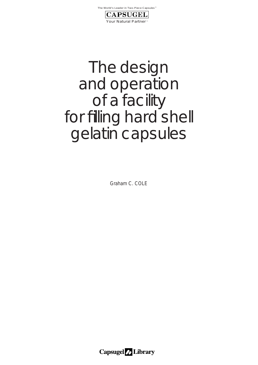



# The design and operation of a facility for filling hard shell gelatin capsules

Graham C. COLE

Capsugel **Z** Library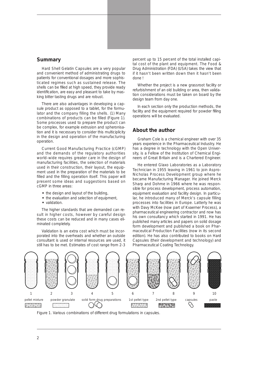

## **Summary**

Hard Shell Gelatin Capsules are a very popular and convenient method of administrating drugs to patients for conventional dosages and more sophisticated regimes such as sustained release. The shells can be filled at high speed, they provide ready identification, are easy and pleasant to take by masking bitter tasting drugs and are robust.

There are also advantages in developing a capsule product as opposed to a tablet, for the formulator and the company filling the shells. (1) Many combinations of products can be filled (*Figure 1*). Some processes used to prepare the product can be complex, for example extrusion and spheronisation and it is necessary to consider this multiciplicity in the design and operation of the manufacturing operation.

Current Good Manufacturing Practice (cGMP) and the demands of the regulatory authorities world-wide requires greater care in the design of manufacturing facilities, the selection of materials used in their construction, their layout, the equipment used in the preparation of the materials to be filled and the filling operation itself. This paper will present some ideas and suggestions based on cGMP in three areas:

- the design and layout of the building,
- the evaluation and selection of equipment,
- validation.

The higher standards that are demanded can result in higher costs, however by careful design these costs can be reduced and in many cases eliminated completely.

Validation is an extra cost which must be incorporated into the overheads and whether an outside consultant is used or internal resources are used, it still has to be met. Estimates of cost range from 2-3 percent up to 15 percent of the total installed capital cost of the plant and equipment. The Food & Drug Administration (FDA) (USA) takes the view that if it hasn't been written down then it hasn't been done !

Whether the project is a new grassroot facility or refurbishment of an old building or area, then validation considerations must be taken on board by the design team from day one.

In each section only the production methods, the facility and the equipment required for powder filling operations will be evaluated.

## **About the author**

Graham Cole is a chemical engineer with over 35 years experience in the Pharmaceutical Industry. He has a degree in technology with the Open University, is a Fellow of the Institution of Chemical Engineers of Great Britain and is a Chartered Engineer.

He entered Glaxo Laboratories as a Laboratory Technician in 1955 leaving in 1961 to join Aspro-Nicholas Process Development group where he became Manufacturing Manager. He joined Merck Sharp and Dohme in 1966 where he was responsible for process development, process automation, equipment evaluation and facility design. In particular, he introduced many of Merck's capsule filling processes into facilities in Europe. Latterly he was with Davy McKee (now part of Kvaerner Process), a pharmaceutical engineering contractor and now has his own consultancy which started in 1991. He has published many articles and papers on solid dosage form development and published a book on Pharmaceutical Production Facilities (now in its second edition). He has also contributed to books on Hard Capsules (their development and technology) and Pharmaceutical Coating Technology.

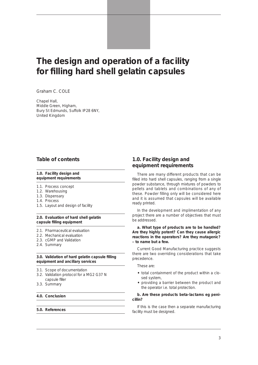## **The design and operation of a facility for filling hard shell gelatin capsules**

Graham C. COLE

Chapel Hall, Middle Green, Higham, Bury St Edmunds, Suffolk IP28 6NY, United Kingdom

## **Table of contents**

#### **1.0. Facility design and equipment requirements**

- 1.1. Process concept
- 1.2. Warehousing
- 1.3. Dispensary
- 1.4. Process
- 1.5. Layout and design of facility

#### **2.0. Evaluation of hard shell gelatin capsule filling equipment**

- 2.1. Pharmaceutical evaluation
- 2.2. Mechanical evaluation
- 2.3. cGMP and Validation
- 2.4. Summary

#### **3.0. Validation of hard gelatin capsule filling equipment and ancillary services**

- 3.1. Scope of documentation
- 3.2. Validation protocol for a MG2 G37 N capsule filler
- 3.3. Summary
- **4.0. Conclusion**

**5.0. References**

## **1.0. Facility design and equipment requirements**

There are many different products that can be filled into hard shell capsules, ranging from a single powder substance, through mixtures of powders to pellets and tablets and combinations of any of these. Powder filling only will be considered here and it is assumed that capsules will be available ready printed.

In the development and implimentation of any project there are a number of objectives that must be addressed.

**a. What type of products are to be handled? Are they highly potent? Can they cause allergic reactions in the operators? Are they mutagenic? – to name but a few.**

Current Good Manufacturing practice suggests there are two overriding considerations that take precedence.

These are:

- total containment of the product within a closed system,
- providing a barrier between the product and the operator i.e. total protection.

#### **b. Are these products beta-lactams eg penicillin?**

If this is the case then a separate manufacturing facility must be designed.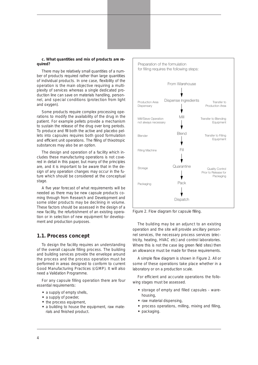#### **c. What quantities and mix of products are required?**

There may be relatively small quantities of a number of products required rather than large quantities of individual products. In one case, flexibility of the operation is the main objective requiring a multiplexity of services whereas a single dedicated production line can save on materials handling, personnel, and special conditions (protection from light and oxygen).

Some products require complex processing operations to modify the availability of the drug in the patient. For example pellets provide a mechanism to sustain the release of the drug over long periods. To produce and fill both the active and placebo pellets into capsules requires both good formulation and efficient unit operations. The filling of thixotropic substances may also be an option.

The design and operation of a facility which includes these manufacturing operations is not covered in detail in this paper, but many of the principles are, and it is important to be aware that in the design of any operation changes may occur in the future which should be considered at the conceptual stage.

A five year forecast of what requirements will be needed as there may be new capsule products coming through from Research and Development and some older products may be declining in volume. These factors should be assessed in the design of a new facility, the refurbishment of an existing operation or in selection of new equipment for development and production purposes.

## **1.1. Process concept**

To design the facility requires an understanding of the overall capsule filling process. The building and building services provide the envelope around the process and the process operation must be performed in areas designed to conform to current Good Manufacturing Practices (cGMP). It will also need a Validation Programme.

For any capsule filling operation there are four essential requirements:

- a supply of empty shells,
- a supply of powder,
- the process equipment,
- a building to house the equipment, raw materials and finished product.



*Figure 2. Flow diagram for capsule filling.*

The building may be an adjunct to an existing operation and the site will provide ancillary personnel services, the necessary process services (electricity, heating, HVAC etc) and control laboratories. Where this is not the case (eg green field sites) then an allowance must be made for these requirements.

A simple flow diagram is shown in *Figure 2*. All or some of these operations take place whether in a laboratory or on a production scale.

For efficient and accurate operations the following stages must be assessed.

- storage of empty and filled capsules warehousing,
- raw material dispensing,
- process operations, milling, mixing and filling,
- packaging.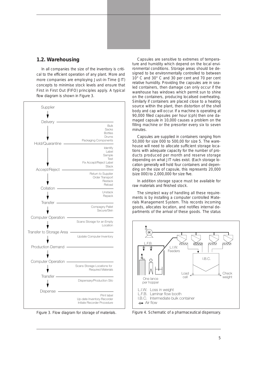## **1.2. Warehousing**

In all companies the size of the inventory is critical to the efficient operation of any plant. More and more companies are employing Just-in-Time (JIT) concepts to minimise stock levels and ensure that First in First Out (FIFO) principles apply. A typical flow diagram is shown in *Figure 3*.



*Figure 3. Flow diagram for storage of materials.*

Capsules are sensitive to extremes of temperature and humidity which depend on the local environmental conditions. Storage areas should be designed to be environmentally controlled to between 10° C and 30° C and 30 per cent and 70 per cent relative humidity. Providing the capsules are in sealed containers, then damage can only occur if the warehouse has windows which permit sun to shine on the containers, producing localised overheating. Similarly if containers are placed close to a heating source within the plant, then distortion of the shell body and cap will occur. If a machine is operating at 90,000 filled capsules per hour (cph) then one damaged capsule in 10,000 causes a problem on the filling machine or the presorter every six to seven minutes.

Capsules are supplied in containers ranging from 50,000 for size 000 to 500,00 for size 5. The warehouse will need to allocate sufficient storage locations with adequate capacity for the number of products produced per month and reserve storage depending on what JIT rules exist. (Each storage location generally will hold four containers and depending on the size of capsule, this represents 20,000 (size 000) to 2,000,000 for size five.

In addition storage space must be available for raw materials and finished stock.

The simplest way of handling all these requirements is by installing a computer controlled Materials Management System. This records incoming goods, allocates location, and notifies internal departments of the arrival of these goods. The status



*Figure 4. Schematic of a pharmaceutical dispensary.*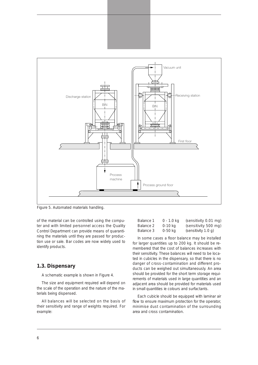

*Figure 5. Automated materials handling.*

of the material can be controlled using the computer and with limited personnel access the Quality Control Department can provide means of quarantining the materials until they are passed for production use or sale. Bar codes are now widely used to identify products.

## **1.3. Dispensary**

A schematic example is shown in *Figure 4*.

The size and equipment required will depend on the scale of the operation and the nature of the materials being dispensed.

All balances will be selected on the basis of their sensitivity and range of weights required. For example:

| Balance 1 | 0 - 1.0 kg | (sensitivity 0.01 mg) |
|-----------|------------|-----------------------|
| Balance 2 | 0-10 kg    | (sensitivity 500 mg)  |
| Balance 3 | 0-50 kg    | (sensitivity 1.0 g)   |

In some cases a floor balance may be installed for larger quantities up to 200 kg. It should be remembered that the cost of balances increases with their sensitivity. These balances will need to be located in cubicles in the dispensary, so that there is no danger of cross-contamination and different products can be weighed out simultaneously. An area should be provided for the short term storage requirements of materials used in large quantities and an adjacent area should be provided for materials used in small quantities ie colours and surfactants.

Each cubicle should be equipped with laminar air flow to ensure maximum protection for the operator, minimise dust contamination of the surrounding area and cross contamination.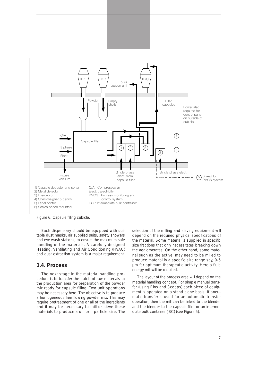

*Figure 6. Capsule filling cubicle.*

Each dispensary should be equipped with suitable dust masks, air supplied suits, safety showers and eye wash stations, to ensure the maximum safe handling of the materials. A carefully designed Heating, Ventilating and Air Conditioning (HVAC) and dust extraction system is a major requirement.

## **1.4. Process**

The next stage in the material handling procedure is to transfer the batch of raw materials to the production area for preparation of the powder mix ready for capsule filling. Two unit operations may be necessary here. The objective is to produce a homogeneous free flowing powder mix. This may require pretreatment of one or all of the ingredients and it may be necessary to mill or sieve these materials to produce a uniform particle size. The

selection of the milling and sieving equipment will depend on the required physical specifications of the material. Some material is supplied in specific size fractions that only necessitates breaking down the agglomerates. On the other hand, some material such as the active, may need to be milled to produce material in a specific size range say, 0-5 µm for optimum therapeutic activity. Here a fluid energy mill will be required.

The layout of the process area will depend on the material handling concept. For simple manual transfer (using Bins and Scoops) each piece of equipment is operated on a stand alone basis. If pneumatic transfer is used for an automatic transfer operation, then the mill can be linked to the blender and the blender to the capsule filler or an intermediate bulk container (IBC) (see *Figure 5*).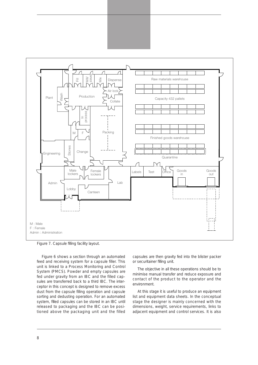

*Figure 7. Capsule filling facility layout.*

*Figure 6* shows a section through an automated feed and receiving system for a capsule filler. This unit is linked to a Process Monitoring and Control System (PMCS). Powder and empty capsules are fed under gravity from an IBC and the filled capsules are transferred back to a third IBC. The interceptor in this concept is designed to remove excess dust from the capsule filling operation and capsule sorting and dedusting operation. For an automated system, filled capsules can be stored in an IBC until released to packaging and the IBC can be positioned above the packaging unit and the filled

capsules are then gravity fed into the blister packer or securitainer filling unit.

The objective in all these operations should be to minimise manual transfer and reduce exposure and contact of the product to the operator and the environment.

At this stage it is useful to produce an equipment list and equipment data sheets. In the conceptual stage the designer is mainly concerned with the dimensions, weight, service requirements, links to adjacent equipment and control services. It is also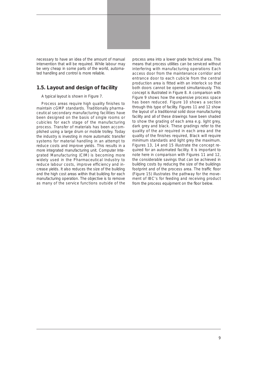necessary to have an idea of the amount of manual intervention that will be required. While labour may be very cheap in some parts of the world, automated handling and control is more reliable.

## **1.5. Layout and design of facility**

#### A typical layout is shown in *Figure 7*.

Process areas require high quality finishes to maintain cGMP standards. Traditionally pharmaceutical secondary manufacturing facilities have been designed on the basis of single rooms or cubicles for each stage of the manufacturing process. Transfer of materials has been accomplished using a large drum or mobile trolley. Today the industry is investing in more automatic transfer systems for material handling in an attempt to reduce costs and improve yields. This results in a more integrated manufacturing unit. Computer Integrated Manufacturing (CIM) is becoming more widely used in the Pharmaceutical Industry to reduce labour costs, improve efficiency and increase yields. It also reduces the size of the building and the high cost areas within that building for each manufacturing operation. The objective is to remove as many of the service functions outside of the process area into a lower grade technical area. This means that process utilities can be serviced without interfering with manufacturing operations Each access door from the maintenance corridor and entrance door to each cubicle from the central production area is fitted with an interlock so that both doors cannot be opened simultaniously. This concept is illustrated in *Figure 8*. A comparison with *Figure 9* shows how the expensive process space has been reduced. *Figure 10* shows a section through this type of facility. *Figures 11* and *12* show the layout of a traditionnal solid dose manufacturing facility and all of these drawings have been shaded to show the grading of each area e.g. light grey, dark grey and black. These gradings refer to the quality of the air required in each area and the quality of the finishes required, Black will require minimum standards and light grey the maximum. *Figures 13, 14* and *15* illustrate the concept required for an automated facility. It is important to note here in comparison with *Figures 11* and *12*, the considerable savings that can be achieved in building costs by reducing the size of the buildings footprint and of the process area. The traffic floor (*Figure 15*) illustrates the pathway for the movement of IBC's for feeding and receiving product from the process equipment on the floor below.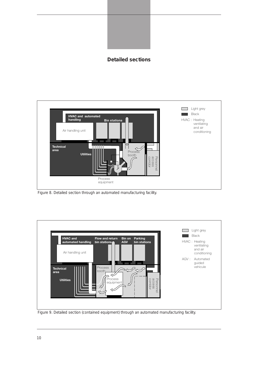**Detailed sections**



*Figure 8. Detailed section through an automated manufacturing facility.*



*Figure 9. Detailed section (contained equipment) through an automated manufacturing facility.*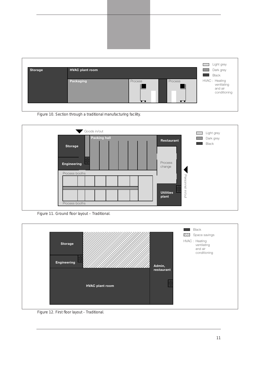

*Figure 10. Section through a traditional manufacturing facility.*



*Figure 11. Ground floor layout – Traditional.*



*Figure 12. First floor layout - Traditional.*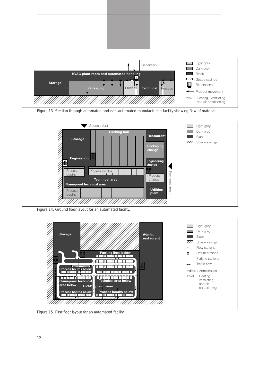

*Figure 13. Section through automated and non-automated manufacturing facility showing flow of material.*



*Figure 14. Ground floor layout for an automated facility.*



*Figure 15. First floor layout for an automated facility.*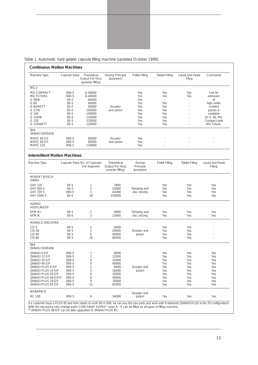| Table 1. Automatic hard gelatin capsule filling machine (updated October 1999). |  |  |  |  |
|---------------------------------------------------------------------------------|--|--|--|--|
|                                                                                 |  |  |  |  |

| Machine Type                         | Capsule Sizes | Theoretical<br>Output Per Hour<br>(powder filling) | Dosing Principle<br>(powders) | Pellet Filling | <b>Tablet Filling</b> | Liquid and Paste<br>Filing | Comments                 |
|--------------------------------------|---------------|----------------------------------------------------|-------------------------------|----------------|-----------------------|----------------------------|--------------------------|
| MG <sub>2</sub>                      |               |                                                    |                               |                |                       |                            |                          |
| MG COMPACT                           | $000 - 5$     | $6 - 48000$                                        |                               | <b>Yes</b>     | Yes                   | Yes                        | Unit for                 |
| <b>MG FUTURA</b>                     | $000 - 5$     | 6-48000                                            |                               | Yes            | Yes                   | Yes                        | extrusion                |
| G 38/N                               | $00 - 5$      | 60000                                              |                               | Yes            |                       |                            | of                       |
| G 60                                 | $00 - 5$      | 60000                                              |                               | Yes            | Yes                   | ٠                          | high solids              |
| G 60/NFTT                            | $00 - 5$      | 60000                                              | Dosator                       | Yes            | Yes                   | ٠                          | content                  |
| G 37/N                               | $00 - 5$      | 100000                                             | and piston                    | Yes            | Yes                   | $\overline{\phantom{a}}$   | pastes is                |
| G 100                                | $00 - 5$      | 100000                                             |                               | Yes            | Yes                   | ۰                          | available                |
| G 120/N                              | $00 - 5$      | 120000                                             |                               | Yes            | Yes                   | ٠                          | for G 36, MG             |
| G 120                                | $00 - 5$      | 120000                                             |                               | Yes            | Yes                   | ٠                          | Compact and              |
| G 120/NETT                           | $00 - 5$      | 120000                                             |                               | Yes            | Yes                   | $\overline{\phantom{a}}$   | MG Futura.               |
| <b>IMA</b><br><b>ZANASI DIVISION</b> |               |                                                    |                               |                |                       |                            |                          |
| MATIC 60 E/F                         | $000 - 5$     | 60000                                              | Dosator                       | Yes            | ٠                     |                            | $\overline{\phantom{a}}$ |
| MATIC 90 E/F                         | $000 - 5$     | 90000                                              | and piston                    | Yes            |                       |                            |                          |
| MATIC 120                            | $000 - 5$     | 120000                                             |                               | Yes            | ٠                     |                            | $\overline{\phantom{a}}$ |

| Machine Type                            |                        | Capsule Sizes No. of Capsules<br>Per Segment | Theoretical<br>Output Per Hour<br>powder filling) | Dosing<br>Principle<br>(powders) | Pellet Filling | <b>Tablet Filling</b> | Liquid and Paste<br>Filling |
|-----------------------------------------|------------------------|----------------------------------------------|---------------------------------------------------|----------------------------------|----------------|-----------------------|-----------------------------|
| ROBERT BOSCH<br><b>GMBH</b>             |                        |                                              |                                                   |                                  |                |                       |                             |
| <b>GKF 130</b>                          | $00 - 5$               | 1                                            | 7800                                              |                                  | Yes            | Yes                   | Yes                         |
| <b>GKF 400 S</b>                        | $00 - 5$               | 3                                            | 24000                                             | Tamping and                      | Yes            | Yes                   | Yes                         |
| <b>GKF 700 S</b>                        | $000 - 5$              | 5                                            | 42000                                             | disc dosing                      | Yes            | Yes                   | Yes                         |
| GKF 2000 S                              | $00 - 5$               | 18                                           | 150000                                            |                                  | Yes            | Yes                   | Yes                         |
| <b>HARRO</b><br><b>HOEFLINGER</b>       |                        |                                              |                                                   |                                  |                |                       |                             |
| KFM III-I                               | $00 - 5$               | 1                                            | 4800                                              | Tamping and                      | Yes            | Yes                   | Yes                         |
| KFM III                                 | $00 - 5$               | 3                                            | 15000                                             | disc dosing                      | Yes            | Yes                   | Yes                         |
| ROMACO MACOFAR                          |                        |                                              |                                                   |                                  |                |                       |                             |
| $CD-5$                                  | $00 - 5$               | 1                                            | 6000                                              |                                  | Yes            | Yes                   |                             |
| $CD-20$                                 | $00 - 5$               | 3                                            | 20000                                             | Dosator and                      | Yes            | Yes                   |                             |
| $CD-40$                                 | $00 - 5$               | 6                                            | 40000                                             | piston                           | Yes            | Yes                   |                             |
| $CD-60$                                 | $00 - 5$               | 10                                           | 66500                                             |                                  | Yes            | Yes                   |                             |
| <b>IMA</b><br><b>ZANASI DIVISION</b>    |                        |                                              |                                                   |                                  |                |                       |                             |
| ZANASI 6 E/F                            | $000 - 5$              | 1                                            | 6000                                              |                                  | Yes            | Yes                   | Yes                         |
| ZANASI 12 E/F                           | $000 - 5$              | $\overline{2}$                               | 12000                                             |                                  | Yes            | Yes                   | Yes                         |
| ZANASI 25 E/F                           | $000 - 5$              | 4                                            | 25000                                             |                                  | Yes            | Yes                   | Yes                         |
| ZANASI 40 E/F                           | $000 - 5$              | 6                                            | 40000                                             |                                  | Yes            | Yes                   | Yes                         |
| ZANASI PLUS 8 E/F<br>ZANASI PLUS 16 E/F | $000 - 5$<br>$000 - 5$ | 1<br>$\overline{2}$                          | 8000<br>16000                                     | Dosator and<br>piston            | Yes<br>Yes     | Yes<br>Yes            | Yes<br>Yes                  |
| ZANASI PLUS 30 E/F                      | $000 - 5$              | 4                                            | 30000                                             |                                  | Yes            | Yes                   | Yes                         |
| ZANASI PLUS 48 E/F(*)                   | $000 - 5$              | 6                                            | 48000                                             |                                  | Yes            | Yes                   | Yes                         |
| ZANASI PLUS 70 E/F                      | $000 - 5$              | 9                                            | 70000                                             |                                  | Yes            | Yes                   | Yes                         |
| ZANASI PLUS 85 E/F                      | $000 - 5$              | 11                                           | 85000                                             |                                  | Yes            | Yes                   | Yes                         |
| <b>BONAPACE</b>                         |                        |                                              |                                                   | Dosator and                      |                |                       |                             |
| <b>RC 530</b>                           | $000 - 5$              | 6                                            | 34000                                             | piston                           | Yes            | Yes                   | Yes                         |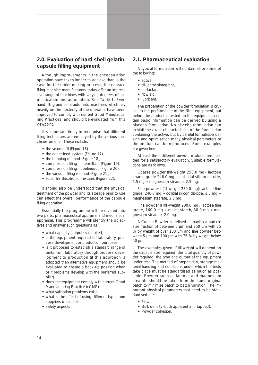## **2.0. Evaluation of hard shell gelatin capsule filling equipment**

Although improvements in the encapsulation operation have taken longer to achieve than is the case for the tablet making process, the capsule filling machine manufacturers today offer an impressive range of machines with varying degrees of sophistication and automation. See *Table 1*. Even hand filling and semi-automatic machines which rely heavily on the dexterity of the operator, have been improved to comply with current Good Manufacturing Practices, and should be evaluated from this viewpoint.

It is important firstly to recognise that different filling techniques are employed by the various machines on offer. These include:

- the volume fill (*Figure 16*),
- the auger feed system (*Figure 17*),
- the tamping method (*Figure 18*),
- compression filling intermittant (*Figure 19*),
- compression filling continuous (*Figure 20*),
- the vacuum filling method (*Figure 21*),
- liquid fill/ thixotropic mixtures (*Figure 22*).

It should also be understood that the physical treatment of the powder and its storage prior to use can effect the overall performance of the capsule filling operation.

Essentially the programme will be divided into two parts; pharmaceutical appraisal and mechanical appraisal. This programme will identify the objectives and answer such questions as:

- what capacity (output) is required,
- is the equipment required for laboratory, process development or production purposes,
- is it proposed to establish a standard range of units from laboratory through process development to production (if this approach is adopted then alternative equipment should be evaluated to ensure a back-up position when or if problems develop with the preferred supplier),
- does the equipment comply with current Good Manufacturing Practice (cGMP),
- what validation problems exist,
- what is the effect of using different types and suppliers of capsules,
- safety aspects.

## **2.1. Pharmaceutical evaluation**

A typical formulation will contain all or some of the following:

- active,
- diluent/disintegrant,
- surfactant,
- flow aid.
- lubricant.

The preparation of the powder formulation is crucial to the performance of the filling equipment, but before the product is tested on the equipment, certain basic information can be derived by using a placebo formulation. No placebo formulation can exhibit the exact characteristics of the formulation containing the active, but by careful formulation design and optimisation many physical parameters of the product can be reproduced. Some examples are given here.

At least three different powder mixtures are needed for a satisfactory evaluation. Suitable formulations are as follows.

Coarse powder (fill-weight 250.0 mg): lactose coarse grade 246.0 mg + colloidal silicon dioxide, 1.5 mg + magnesium stearate, 2.5 mg.

Fine powder I (fill-weight 250.0 mg): lactose fine grade, 246.0 mg + collidal silicon dioxide, 1.5 mg + magnesium stearate, 2.5 mg.

Fine powder II (fill-weight 200.0 mg): lactose fine grade, 160.0 mg + maize starch, 38.0 mg + magnesium stearate, 2.0 mg.

A Coarse Powder is defined as having a particle size fraction of between 5 µm and 250 µm with 75 % by weight of over 100 µm and fine powder between 5 µm and 100 µm with 75 % by weight below 50 µm.

The examples given of fill weight will depend on the capsule size required, the total quantity of powder required, the type and output of the equipment under test. The method of preparation, storage material handling and conditions under which the tests take place must be standardised as much as possible. Powder such as lactose and magnesium stearate should be taken from the same original batch to minimise batch to batch variation. The important physical parameters that need to be standardised are:

- Flow,
- Bulk density (both apparent and tapped),
- Powder cohesion.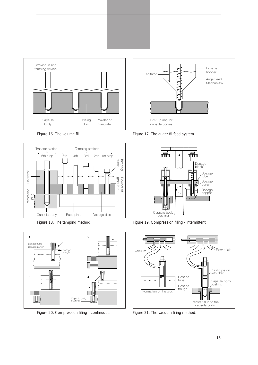





*Figure 20. Compression filling - continuous.*



*Figure 16. The volume fill. Figure 17. The auger fill feed system.*



*Figure 18. The tamping method. Figure 19. Compression filling - intermittent.*



*Figure 21. The vacuum filling method.*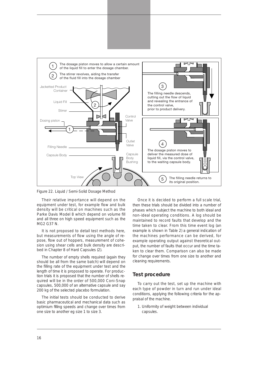

*Figure 22. Liquid / Semi-Solid Dosage Method*

Their relative importance will depend on the equipment under test, for example flow and bulk density will be critical on machines such as the Parke Davis Model 8 which depend on volume fill and all three on high speed equipment such as the MG2 G37 N.

It is not proposed to detail test methods here, but measurements of flow using the angle of repose, flow out of hoppers, measurement of cohesion using shear cells and bulk density are described in Chapter 8 of Hard Capsules (2).

The number of empty shells required (again they should be all from the same batch) will depend on the filling rate of the equipment under test and the length of time it is proposed to operate. For production trials it is proposed that the number of shells required will be in the order of 500,000 Coni-Snap capsules, 500,000 of an alternative capsule and say 200 kg of the selected placebo formulation.

The initial tests should be conducted to derive basic pharmaceutical and mechanical data such as optimium filling speeds and change over times from one size to another eg size 1 to size 3.

Once it is decided to perform a full scale trial, then these trials should be divided into a number of phases which subject the machine to both ideal and non-ideal operating conditions. A log should be maintained to record faults that develop and the time taken to clear. From this time event log (an example is shown in *Table 2*) a general indication of the machines performance can be derived, for example operating output against theoretical output, the number of faults that occur and the time taken to clear them. Comparison can also be made for change over times from one size to another and cleaning requirements.

## **Test procedure**

To carry out the test, set up the machine with each type of powder in turn and run under ideal conditions, applying the following criteria for the appraisal of the machine.

1. Uniformity of weight between individual capsules.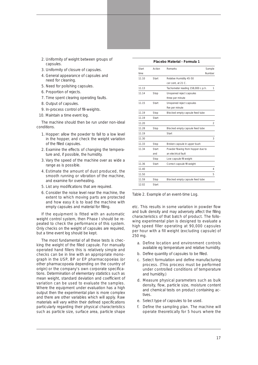- 2. Uniformity of weight between groups of capsules.
- 3. Uniformity of closure of capsules.
- 4. General appearance of capsules and need for cleaning.
- 5. Need for polishing capsules.
- 6. Proportion of rejects.
- 7. Time spent clearing operating faults.
- 8. Output of capsules.
- 9. In-process control of fill-weights.
- 10. Maintain a time event log.

The machine should then be run under non-ideal conditions.

- 1. Hopper: allow the powder to fall to a low level in the hopper, and check the weight variation of the filled capsules.
- 2. Examine the effects of changing the temperature and, if possible, the humidity.
- 3. Vary the speed of the machine over as wide a range as is possible.
- 4. Estimate the amount of dust produced, the smooth running or vibration of the machine, and examine for overheating.
- 5. List any modifications that are required.
- 6. Consider the noise level near the machine, the extent to which moving parts are protected and how easy it is to load the machine with empty capsules and material for filling.

If the equipment is fitted with an automatic weight control system, then Phase I should be repeated to check the performance of this system. Only checks on the weight of capsules are required, but a time event log should be kept.

The most fundamental of all these tests is checking the weight of the filled capsule. For manually operated hand fillers this is relatively simple and checks can be in line with an appropriate monograph in the USP, BP or EP pharmacopoeias (or other pharmacopoeia depending on the country of origin) or the company's own corporate specifications. Determination of elementary statistics such as mean weight, standard deviation and coefficient of variation can be used to evaluate the samples. Where the equipment under evaluation has a high output then the experimental plan is more complex and there are other variables which will apply. Raw materials will vary within their defined specifications particularly regarding their physical characteristics such as particle size, surface area, particle shape

|       |        | Placebo Material - Formula 1      |                |
|-------|--------|-----------------------------------|----------------|
| Start | Action | Remarks                           | Sample         |
| time  |        |                                   | Number         |
| 11.10 | Start  | Relative Humidity 45-50           |                |
|       |        | cer cent. at 21 C.                |                |
| 11.13 |        | Tachometer reading 158,000 c.p.h. | 1              |
| 11.14 | Stop   | Unopened reject capsules          |                |
|       |        | three per minute                  |                |
| 11.15 | Start  | Unopened reject capsules          |                |
|       |        | five per minute                   |                |
| 11.19 | Stop   | Blocked empty capsule feed tube   |                |
| 11.19 | Start  |                                   |                |
| 11.20 |        |                                   | $\overline{a}$ |
| 11.28 | Stop   | Blocked empty capsule feed tube   |                |
| 11.19 |        | Start                             |                |
| 11.30 |        |                                   | 3              |
| 11.33 | Stop   | Broken capsule in upper bush      |                |
| 11.34 | Start  | Powder flowing from hopper due to |                |
|       | and    | an electrical fault               |                |
|       | Stop   | Low capsule fill weight           |                |
| 11.36 | Start  | Correct capsule fill weight       |                |
| 11.40 |        |                                   | 4              |
| 11.50 |        |                                   | 5              |
| 11.59 | Stop   | Blocked empty capsule feed tube   |                |
| 12.02 | Start  |                                   |                |

*Table 2. Example of an event-time Log.*

etc. This results in some variation in powder flow and bulk density and may adversely affect the filling characteristics of that batch of product. The following experimental plan is designed to evaluate a high speed filler operating at 90,000 capsules per hour with a fill weight (excluding capsule) of 250 mg.

- a. Define location and environment controls available eg temperature and relative humidity.
- b. Define quantity of capsules to be filled.
- c. Select formulation and define manufacturing process. (This process must be performed under controlled conditions of temperature and humidity.)
- d. Measure physical parameters such as bulk density, flow, particle size, moisture content and chemical tests on product containing actives.
- e. Select type of capsules to be used.
- f. Define the sampling plan. The machine will operate theoretically for 5 hours where the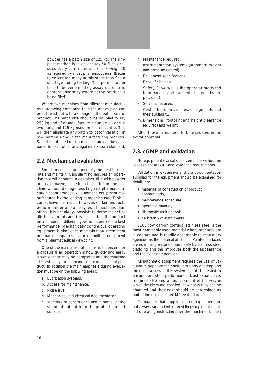powder has a batch size of 125 kg. The simplest method is to collect say 50 filled capsules every 15 minutes and check weigh 20 as required by most pharmacopoeias. (Better to collect too many at this stage than find a shortage during testing. This permits other tests to be performed eg assay, dissolution, content uniformity where active product is being filled).

Where two machines from different manufacturers are being compared then the above plan can be followed but with a change in the batch size of product. The batch size should be doubled to say 250 kg and after manufacture it can be divided in two parts and 125 kg used on each machine. This will then eliminate any batch to batch variation in raw materials and in the manufacturing process. Samples collected during manufacture can be compared to each other and against a known standard.

## **2.2. Mechanical evaluation**

Simple machines are generally the best to operate and maintain. Capsule filling requires an operation that will separate a container, fill it with powder or an alternative, close it and eject it from the machine without damage resulting in a pharmaceutically elegant product. All automatic equipment manufactured by the leading companies (see Table I) can achieve this result, however, certain products perform better on some types of machines than others. It is not always possible to define the scientific basis for this and it is best to test the product on a number of different types to determine the best performance. Mechanically continuous operating equipment is simpler to maintain than intermittent but many companies favour intermittent equipment from a pharmaceutical viewpoint.

One of the main areas of mechanical concern for a capsule filling operation is how quickly and easily a size change may be completed and the machine cleaned ready for the manufacture of a different product. In addition the main emphasis during evaluation must be on the following areas:

- a. Lubrication systems.
- b. Access for maintenance.
- c. Noise level.
- d. Mechanical and electrical documentation.
- e. Materials of construction and in particular the standards of finish for the product contact surfaces.
- f. Maintenance required.
- g. Instrumentation systems (automatic weight and pressure control).
- h. Equipment specifications.
- i. Ease of cleaning.
- j. Safety. (How well is the operator protected from moving parts and what interlocks are provided.)
- k. Services required.
- l. Cost of basic unit, spares, change parts and their availability.
- m. Dimensions (footprint and height clearance required) and weight.

All of these items need to be evaluated in the overall appraisal.

## **2.3. cGMP and validation**

No equipment evaluation is complete without an assessment of GMP and Validation requirements.

Validation is expensive and the documentation supplied for the equipment should be examined for details on:

- materials of construction of product contact parts,
- maintenance schedules,
- operating manual,
- diagnostic fault analysis,
- calibration of instruments.

316L (low carbon content) stainless steel is the most commonly used material where products are in contact and is readily acceptable to regulatory agencies as the material of choice. Painted surfaces are now being replaced universally by stainless steel cladding and this improves both the appearance and the cleaning operation.

All automatic equipment requires the use of vacuum to separate the shells into body and cap and the effectiveness of this system should be tested to ensure consistent performance. Dust extraction is required also and an assessment of the way in which the filters are installed, how easily they can be changed and their cost should be determined as part of the engineering/GMP evaluation.

Companies that supply excellent equipment are not always so efficient in providing simple but detailed operating instructions for the machine. It must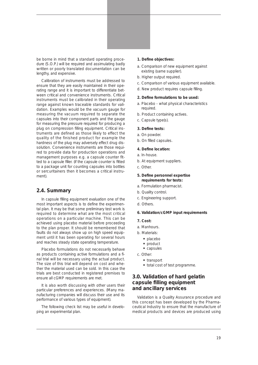be borne in mind that a standard operating procedure (S.O.P.) will be required and assimulating badly written or poorly translated documentation can be lengthy, and expensive.

Calibration of instruments must be addressed to ensure that they are easily maintained in their operating range and it is important to differentiate between critical and convenience instruments. Critical instruments must be calibrated in their operating range against known traceable standards for validation. Examples would be the vacuum gauge for measuring the vacuum required to separate the capsules into their component parts and the gauge for measuring the pressure required for producing a plug on compression filling equipment. Critical instruments are defined as those likely to effect the quality of the finished product for example the hardness of the plug may adversely effect drug dissolution. Convenience instruments are those required to provide data for production operations and management purposes e.g. a capsule counter fitted to a capsule filler. (if the capsule counter is fitted to a package unit for counting capsules into bottles or sercuritainers then it becomes a critical instrument).

## **2.4. Summary**

In capsule filling equipment evaluation one of the most important aspects is to define the experimental plan. It may be that some preliminary test work is required to determine what are the most critical operations on a particular machine. This can be achieved using placebo material before proceeding to the plan proper. It should be remembered that faults do not always show up on high speed equipment until it has been operating for several hours and reaches steady state operating temperature.

Placebo formulations do not necessarily behave as products containing active formulations and a final trial will be necessary using the actual product. The size of this trial will depend on cost and whether the material used can be sold. In this case the trials are best conducted in registered premises to ensure all cGMP requirements are met.

It is also worth discussing with other users their particular preferences and experiences. (Many manufacturing companies will discuss their use and its performance of various types of equipment).

The following check list may be useful in developing an experimental plan.

#### **1. Define objectives:**

- a. Comparison of new equipment against existing (same supplier).
- b. Higher output required.
- c. Comparison of various equipment available.
- d. New product requires capsule filling.

#### **2. Define formulations to be used:**

- a. Placebo what physical characteristics required.
- b. Product containing actives.
- c. Capsule type(s).
- **3. Define tests:**
- a. On powder.
- b. On filled capsules.

#### **4. Define location:**

- a. In-house.
- b. At equipment suppliers.
- c. Other.

#### **5. Define personnel expertise requirements for tests:**

- a. Formulation pharmacist.
- b. Quality control.
- c. Engineering support.
- d. Others.

#### **6. Validation/cGMP input requirements**

- **7. Cost:**
- a. Manhours.
- b. Materials:
	- placebo
	- product
	- capsules
- c. Other:
	- transport
	- total cost of test programme.

## **3.0. Validation of hard gelatin capsule filling equipment and ancillary services**

Validation is a Quality Assurance procedure and this concept has been developed by the Pharmaceutical Industry to ensure that the manufacture of medical products and devices are produced using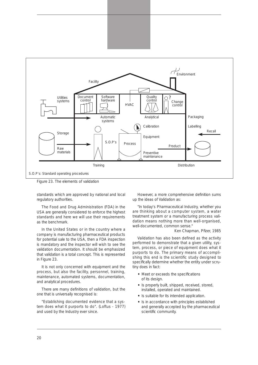

*Figure 23. The elements of validation*

standards which are approved by national and local regulatory authorities.

The Food and Drug Administration (FDA) in the USA are generally considered to enforce the highest standards and here we will use their requirements as the benchmark.

In the United States or in the country where a company is manufacturing pharmaceutical products for potential sale to the USA, then a FDA inspection is mandatory and the inspector will wish to see the validation documentation. It should be emphasized that validation is a total concept. This is represented in *Figure 23*.

It is not only concerned with equipment and the process, but also the facility, personnel, training, maintenance, automated systems, documentation, and analytical procedures.

There are many definitions of validation, but the one that is universally recognised is:

*"Establishing documented evidence that a system does what it purports to do".* (Loftus - 1977) and used by the Industry ever since.

However, a more comprehensive definition sums up the ideas of Validation as:

*"In today's Pharmaceutical Industry, whether you are thinking about a computer system, a water treatment system or a manufacturing process validation means nothing more than well-organised, well-documented, common sense."*

Ken Chapman, Pfizer, 1985

Validation has also been defined as the activity performed to demonstrate that a given utility, system, process, or piece of equipment does what it purports to do. The primary means of accomplishing this end is the scientific study designed to specifically determine whether the entity under scrutiny does in fact:

- Meet or exceeds the specifications of its design.
- Is properly built, shipped, received, stored, installed, operated and maintained.
- Is suitable for its intended application.
- Is in accordance with principles established and generally accepted by the pharmaceutical scientific community.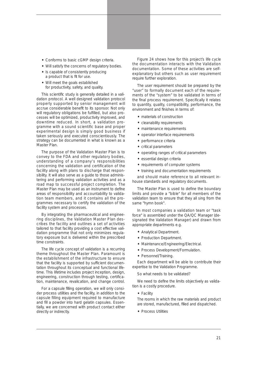- Conforms to basic cGMP design criteria.
- Will satisfy the concerns of regulatory bodies.
- Is capable of consistently producing a product that is fit for use.
- Will meet the goals established for productivity, safety, and quality.

This scientific study is generally detailed in a validation protocol. A well designed validation protocol properly supported by senior management will accrue considerable benefit to its sponsor. Not only will regulatory obligations be fulfilled, but also processes will be optimized, productivity improved, and downtime reduced. In short, a validation programme with a sound scientific base and proper experimental design is simply good business if taken seriously and executed conscientiously. The strategy can be documented in what is known as a Master Plan.

The purpose of the Validation Master Plan is to convey to the FDA and other regulatory bodies, understanding of a company's responsibilities concerning the validation and certification of the facility along with plans to discharge that responsibility. It will also serve as a guide to those administering and performing validation activities and as a road map to successful project completion. The Master Plan may be used as an instrument to define areas of responsibility and accountability to validation team members, and it contains all the programmes necessary to certify the validation of the facility system and processes.

By integrating the pharmaceutical and engineering disciplines, the Validation Master Plan describes the facility and outlines a set of activities tailored to that facility providing a cost effective validation programme that not only minimizes regulatory exposure but is delivered within the prescribed time constraints.

The life cycle concept of validation is a recurring theme throughout the Master Plan. Paramount is the establishment of the infrastructure to ensure that the facility is supported by sufficient documentation throughout its conceptual and functional lifetime. This lifetime includes project inception, design, engineering, construction through testing, certification, maintenance, revalication, and change control.

For a capsule filling operation, we will only consider process utilities and the facility, in addition to the capsule filling equipment required to manufacture and fill a powder into hard gelatin capsules. Essentially, we are concerned with product contact either directly or indirectly.

*Figure 24* shows how for this project's life cycle the documentation interacts with the Validation documentation. Some of these activities are selfexplanatory but others such as user requirement require further exploration.

The user requirement should be prepared by the "user" to formally document each of the requirements of the "system" to be validated in terms of the final process requirement. Specifically it relates to quantity, quality, compatibility, performance, the environment and finishes in terms of:

- materials of construction
- cleanability requirements
- maintenance requirements
- operator interface requirements
- performance criteria
- critical parameters
- operating ranges of critical parameters
- essential design criteria
- requirements of computer systems
- training and documentation requirements

and should make reference to all relevant inhouse standards and regulatory documents.

The Master Plan is used to define the boundary limits and provide a "bible" for all members of the validation team to ensure that they all sing from the same "hymn book".

In most companies a validation team or "task force" is assembled under the QA/QC Manager (designated the Validation Manager) and drawn from appropriate departments e.g.

- Analytical Department.
- Production Department.
- Maintenance/Engineering/Electrical.
- Process Development/Formulation.
- Personnel/Training.

Each department will be able to contribute their expertise to the Validation Programme.

So what needs to be validated?

We need to define the limits objectively as validation is a costly procedure.

• Facility

The rooms in which the raw materials and product are stored, manufactured, filled and dispatched.

• Process Utilities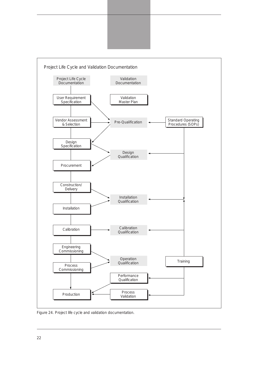

*Figure 24. Project life cycle and validation documentation.*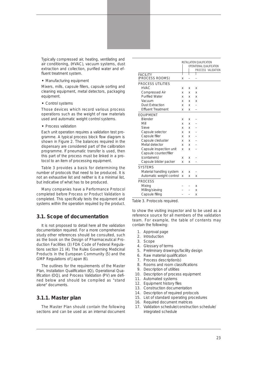Typically compressed air, heating, ventilating and air conditioning, (HVAC), vacuum systems, dust extraction and collection, purified water and effluent treatment system.

• Manufacturing equipment

Mixers, mills, capsule fillers, capsule sorting and cleaning equipment, metal detectors, packaging equipment.

• Control systems

Those devices which record various process operations such as the weight of raw materials used and automatic weight control systems.

• Process validation

Each unit operation requires a validation test programme. A typical process block flow diagram is shown in *Figure 2*. The balances required in the dispensary are considered part of the calibration programme. If pneumatic transfer is used, then this part of the process must be linked in a protocol to an item of processing equipment.

*Table 3* provides a basis for determining the number of protocols that need to be produced. It is not an exhaustive list and neither is it a minimal list, but indicative of what has to be produced.

Many companies have a Performance Protocol completed before Process or Product Validation is completed. This specifically tests the equipment and systems within the operation required by the product.

## **3.1. Scope of documentation**

It is not proposed to detail here all the validation documentation required. For a more comprehensive study other references should be consulted, such as the book on the Design of Pharmaceutical Production Facilities (3) FDA Code of Federal Regulations section 21 (4). The Rules Governing Medicinal Products in the European Community (5) and the GMP Regulations of Japan (6).

The outlines for the requirements of the Master Plan, Installation Qualification (IQ), Operational Qualification (OQ), and Process Validation (PV) are defined below and should be compiled as "stand alone" documents.

## **3.1.1. Master plan**

The Master Plan should contain the following sections and can be used as an internal document

|                                    |   |   | INSTALLATION QUALIFICATION<br>OPERATIONAL QUALIFICATION<br>PROCESS VALIDATION |
|------------------------------------|---|---|-------------------------------------------------------------------------------|
| <b>FACILITY</b><br>(PROCESS ROOMS) | X |   |                                                                               |
| PROCESS UTILITIES                  |   |   |                                                                               |
| <b>HVAC</b>                        | X | X | X                                                                             |
| Compressed Air                     | X | X | X                                                                             |
| <b>Purified Water</b>              | X | X | X                                                                             |
| Vacuum                             | X | X | X                                                                             |
| <b>Dust Extraction</b>             | X | X |                                                                               |
| <b>Fffluent Treatment</b>          | X | X |                                                                               |
| <b>EQUIPMENT</b>                   |   |   |                                                                               |
| <b>Blender</b>                     | X | X |                                                                               |
| Mill                               | X | X |                                                                               |
| Sieve                              | X | X |                                                                               |
| Capsule selector                   | X | X |                                                                               |
| Capsule filler                     | X | X |                                                                               |
| Capsule cleduster                  | X | X |                                                                               |
| Metal detector                     | X | X |                                                                               |
| Capsule inspection unit            | X | X |                                                                               |
| Capsule counter/filler             |   |   |                                                                               |
| (containers)                       | X | X |                                                                               |
| Capsule blister packer             | X | Χ |                                                                               |
| <b>SYSTEMS</b>                     |   |   |                                                                               |
| Material handling system           | Χ | X |                                                                               |
| Automatic weight control           | X | X | X                                                                             |
| <b>PROCESS</b>                     |   |   |                                                                               |
| Mixing                             |   |   | X                                                                             |
| Milling/sieving                    |   |   | X                                                                             |
| Capsule filling                    |   |   | X                                                                             |

*Table 3. Protocols required.*

to show the visiting inspector and to be used as a reference source for all members of the validation team. For example, the table of contents may contain the following:

- 1. Approval page
- 2. Introduction
- 3. Scope
- 4. Glossary of terms
- 5. Preliminary drawings/facility design
- 6. Raw material qualification
- 7. Process description(s)
- 8. Rooms and room classifications
- 9. Description of utilities
- 10. Description of process equipment
- 11. Automated systems
- 12. Equipment history files
- 13. Construction documentation
- 14. Description of required protocols
- 15. List of standard operating procedures
- 16. Required document matrices
- 17. Validation schedule/construction schedule/ integrated schedule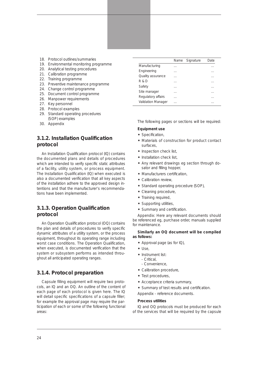- 18. Protocol outlines/summaries
- 19. Environmental monitoring programme
- 20. Analytical testing procedures
- 21. Calibration programme
- 22. Training programme
- 23. Preventive maintenance programme
- 24. Change control programme
- 25. Document control programme
- 26. Manpower requirements
- 27. Key personnel
- 28. Protocol examples
- 29. Standard operating procedures (SOP) examples
- 30. Appendix

## **3.1.2. Installation Qualification protocol**

An Installation Qualification protocol (IQ) contains the documented plans and details of procedures which are intended to verify specific static attributes of a facility, utility system, or process equipment. The Installation Qualification (IQ) when executed is also a documented verification that all key aspects of the installation adhere to the approved design intentions and that the manufacturer's recommendations have been implemented.

## **3.1.3. Operation Qualification protocol**

An Operation Qualification protocol (OQ) contains the plan and details of procedures to verify specific dynamic attributes of a utility system, or the process equipment, throughout its operating range including worst case conditions. The Operation Qualification, when executed, is documented verification that the system or subsystem performs as intended throughout all anticipated operating ranges.

## **3.1.4. Protocol preparation**

Capsule filling equipment will require two protocols, an IQ and an OQ. An outline of the content of each page of each protocol is given here. The IQ will detail specific specifications of a capsule filler; for example the approval page may require the participation of each or some of the following functional areas:

|                    | Name     | Signature | Date     |
|--------------------|----------|-----------|----------|
| Manufacturing      | $\cdots$ |           | .        |
| Engineering        | $\cdots$ |           | .        |
| Quality assurance  | .        |           | .        |
| R & D              | $\cdots$ |           | $\cdots$ |
| Safety             | $\cdots$ |           | .        |
| Site manager       | .        |           | .        |
| Regulatory affairs | .        |           | .        |
| Validation Manager | .        |           | .        |

The following pages or sections will be required: **Equipment use**

## • Specification,

- Materials of construction for product contact surfaces,
- Inspection check list,
- Installation check list,
- Any relevant drawings eg section through dosator and filling hopper,
- Manufacturers certification,
- Calibration review,
- Standard operating procedure (SOP),
- Cleaning procedure,
- Training required,
- Supporting utilities,
- Summary and certification.

Appendix: Here any relevant documents should be referenced eg, purchase order, manuals supplied for maintenance.

#### **Similarly an OQ document will be compiled as follows:**

- Approval page (as for IQ),
- $\bullet$  Use
- Instrument list:
	- Critical,
	- Convenience,
- Calibration procedure,
- Test procedures,
- Acceptance criteria summary,
- Summary of test results and certification.

Appendix - reference documents.

#### **Process utilities**

IQ and OQ protocols must be produced for each of the services that will be required by the capsule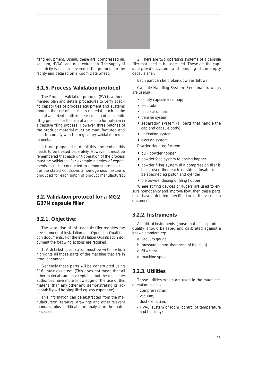filling equipment. Usually these are; compressed air, vacuum, HVAC, and dust extraction. The supply of electricity is usually covered in the protocol for the facility and detailed on a Room Data Sheet.

## **3.1.5. Process Validation protocol**

The Process Validation protocol (PV) is a documented plan and details procedures to verify specific capabilities of process equipment and systems through the use of simulation materials such as the use of a nutrient broth in the validation of an aseptic filling process, or the use of a placebo formulation in a capsule filling process. However, three batches of the product material must be manufactured and sold to comply with the regulatory validation requirements.

It is not proposed to detail this protocol as this needs to be treated separately. However, it must be remembered that each unit operation of the process must be validated. For example a series of experiments must be conducted to demonstrate that under the stated conditions a homogenous mixture is produced for each batch of product manufactured.

## **3.2. Validation protocol for a MG2 G37N capsule filler**

## **3.2.1. Objective:**

The validation of this capsule filler requires the development of Installation and Operation Qualification documents. For the Installation Qualification document the following actions are required.

1. A detailed specification must be written which highlights all those parts of the machine that are in product contact.

Generally these parts will be constructed using 316L stainless steel. (This does not mean that all other materials are unacceptable, but the regulatory authorities have more knowledge of the use of this material than any other and demonstrating its acceptability will be simplified eg less expensive).

This information can be abstracted from the manufacturers' literature, drawings and other relevant manuals, plus certificates of analysis of the materials used.

2. There are two operating systems of a capsule filler that need to be assessed. These are the capsule powder system, and handling of the empty capsule shell.

Each part can be broken down as follows

Capsule Handling System (Sectional drawings are useful)

- empty capsule feed hopper
- feed tube
- rectification unit
- transfer system
- separation system (all parts that handle the cap and capsule body)
- unification system
- ejection system

Powder Handling System

- bulk powder hopper
- powder feed system to dosing hopper
- powder filling system (if a compression filler is being used then each individual dosator must be specified eg piston and cylinder)
- the powder dosing or filling hopper

Where stirring devices or augers are used to ensure homogenity and improve flow, then these parts must have a detailed specification for the validation document.

## **3.2.2. Instruments**

All critical instruments (those that effect product quality) should be listed and calibrated against a known standard eg:

- a. vacuum gauge
- b. pressure control (hardness of the plug)
- c. fill weight
- d. machine speed

## **3.2.3. Utilities**

Those utilities which are used in the machines operation such as

- compressed air,
- vacuum,
- dust extraction,
- HVAC system of room (control of temperature and humidity),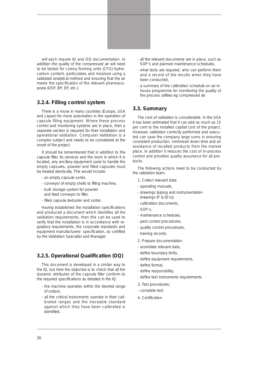

will each require IQ and OQ documentation. In addition the quality of the compressed air will need to be tested for colony forming units (CFU) hydrocarbon content, particulates and moisture using a validated analytical method and ensuring that the air meets the specification of the relevant pharmacopoeia (USP, BP, EP, etc.).

## **3.2.4. Filling control system**

There is a move in many countries (Europe, USA and Japan) for more automation in the operation of capsule filling equipment. Where these process control and monitoring systems are in place, then a separate section is required for their installation and operational validation. Computer Validation is a complex subject and needs to be considered at the onset of the project.

It should be remembered that in addition to the capsule filler, its services and the room in which it is located, any ancillary equipment used to handle the empty capsules, powder and filled capsules must be treated identically. This would include:

- an empty capsule sorter,
- conveyor of empty shells to filling machine,
- bulk storage system for powder and feed conveyor to filler,
- filled capsule deduster and sorter.

Having established the installation specifications and produced a document which identifies all the validation requirements, then this can be used to verify that the installation is in accordance with regulatory requirements, the corporate standards and equipment manufacturers' specification, as certified by the Validation Specialist and Manager.

## **3.2.5. Operational Qualification (OQ)**

This document is developed in a similar way to the IQ, but here the objective is to check that all the dynamic attributes of the capsule filler conform to the required specifications as detailed in the IQ.

- the machine operates within the desired range of output,
- all the critical instruments operate in their calibrated ranges and the traceable standard against which they have been calibrated is identified,
- all the relevant documents are in place, such as SOP's and planned maintenance schedules,
- what tests are required, who can perform them and a record of the results when they have been conducted,
- a summary of the calibration schedule on an inhouse programme for monitoring the quality of the process utilities eg compressed air.

## **3.3. Summary**

The cost of validation is considerable. In the USA it has been estimated that it can add as much as 15 per cent to the installed capital cost of the project. However, validation correctly performed and executed can save the company large sums in ensuring consistent production, minimised down time and an avoidance of recalled products from the market place. In addition it reduces the cost of in-process control and provides quality assurance for all products.

The following actions need to be conducted by the validation team.

- 1. Collect relevant data
- operating manuals,
- drawings (piping and instrumentation drawings (P & ID's)),
- calibration documents,
- SOP's,
- maintenance schedules,
- pest control procedures,
- quality control procedures,
- training records.
- 2. Prepare documentation:
- assimilate relevant data,
- define boundary limits,
- define equipment requirements,
- define format,
- define responsibility,
- define test instruments requirements.
- 3. Test procedures:
- complete test.
- 4. Certification.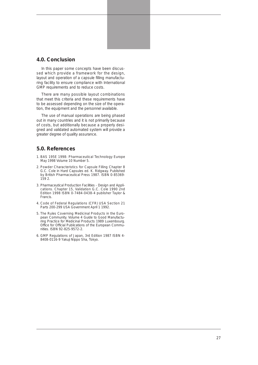## **4.0. Conclusion**

In this paper some concepts have been discussed which provide a framework for the design, layout and operation of a capsule filling manufacturing facility to ensure compliance with International GMP requirements and to reduce costs.

There are many possible layout combinations that meet this criteria and these requirements have to be assessed depending on the size of the operation, the equipment and the personnel available.

The use of manual operations are being phased out in many countries and it is not primarily because of costs, but additionally because a properly designed and validated automated system will provide a greater degree of quality assurance.

## **5.0. References**

- 1. BAS 195E 1998: Pharmaceutical Technology Europe May 1998 Volume 10 Number 5.
- 2. Powder Characteristics for Capsule Filling Chapter 8 G.C. Cole in Hard Capsules ed. K. Ridgway. Published by British Pharmaceutical Press 1987. ISBN 0-85369- 159 2.
- 3. Pharmaceutical Production Facilities Design and Applications. Chapter 15, Validation G.C. Cole 1990 2nd Edition 1998 ISBN 0-7484-0438-4 publisher Taylor & Francis.
- 4. Code of Federal Regulations (CFR) USA Section 21 Parts 200-299 USA Government April 1 1992.
- 5. The Rules Coverning Medicinal Products in the European Community. Volume 4 Guide to Good Manufacturing Practice for Medicinal Products 1989 Luxembourg. Office for Official Publications of the European Communities. ISBN 92-825-9572-2.
- 6. GMP Regulations of Japan, 3rd Edition 1987 ISBN 4- 8408-0116-9 Yakuji Nippo Sha, Tokyo.